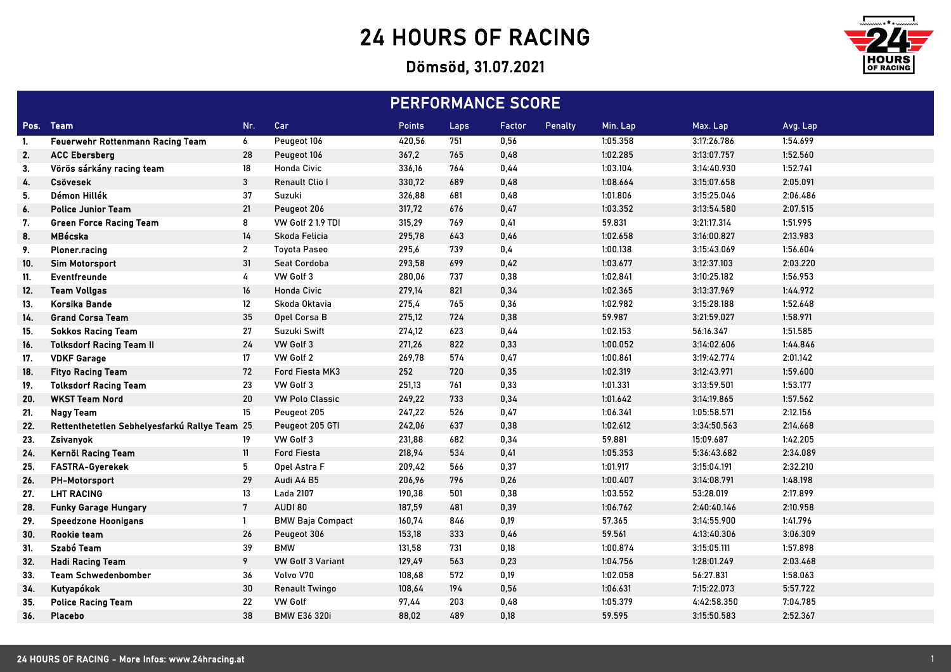## 24 HOURS OF RACING

## Dömsöd, 31.07.2021



| <b>PERFORMANCE SCORE</b> |                                               |                           |                          |        |      |        |         |          |             |          |
|--------------------------|-----------------------------------------------|---------------------------|--------------------------|--------|------|--------|---------|----------|-------------|----------|
|                          | Pos. Team                                     | Nr.                       | Car                      | Points | Laps | Factor | Penalty | Min. Lap | Max. Lap    | Avg. Lap |
| -1.                      | Feuerwehr Rottenmann Racing Team              | 6                         | Peugeot 106              | 420,56 | 751  | 0,56   |         | 1:05.358 | 3:17:26.786 | 1:54.699 |
| 2.                       | <b>ACC Ebersberg</b>                          | 28                        | Peugeot 106              | 367,2  | 765  | 0,48   |         | 1:02.285 | 3:13:07.757 | 1:52.560 |
| 3.                       | Vörös sárkány racing team                     | 18                        | <b>Honda Civic</b>       | 336,16 | 764  | 0,44   |         | 1:03.104 | 3:14:40.930 | 1:52.741 |
| 4.                       | <b>Csövesek</b>                               | $\ensuremath{\mathsf{3}}$ | Renault Clio I           | 330,72 | 689  | 0,48   |         | 1:08.664 | 3:15:07.658 | 2:05.091 |
| 5.                       | Démon Hillék                                  | 37                        | Suzuki                   | 326,88 | 681  | 0,48   |         | 1:01.806 | 3:15:25.046 | 2:06.486 |
| 6.                       | <b>Police Junior Team</b>                     | 21                        | Peugeot 206              | 317,72 | 676  | 0,47   |         | 1:03.352 | 3:13:54.580 | 2:07.515 |
| 7.                       | <b>Green Force Racing Team</b>                | 8                         | VW Golf 2 1.9 TDI        | 315,29 | 769  | 0,41   |         | 59.831   | 3:21:17.314 | 1:51.995 |
| 8.                       | MBécska                                       | 14                        | Skoda Felicia            | 295,78 | 643  | 0,46   |         | 1:02.658 | 3:16:00.827 | 2:13.983 |
| 9.                       | Ploner.racing                                 | $\mathbf{2}$              | <b>Toyota Paseo</b>      | 295,6  | 739  | 0,4    |         | 1:00.138 | 3:15:43.069 | 1:56.604 |
| 10.                      | <b>Sim Motorsport</b>                         | 31                        | Seat Cordoba             | 293,58 | 699  | 0,42   |         | 1:03.677 | 3:12:37.103 | 2:03.220 |
| 11.                      | Eventfreunde                                  | 4                         | VW Golf 3                | 280,06 | 737  | 0,38   |         | 1:02.841 | 3:10:25.182 | 1:56.953 |
| 12.                      | <b>Team Vollgas</b>                           | 16                        | <b>Honda Civic</b>       | 279,14 | 821  | 0,34   |         | 1:02.365 | 3:13:37.969 | 1:44.972 |
| 13.                      | Korsika Bande                                 | 12                        | Skoda Oktavia            | 275,4  | 765  | 0,36   |         | 1:02.982 | 3:15:28.188 | 1:52.648 |
| 14.                      | <b>Grand Corsa Team</b>                       | 35                        | Opel Corsa B             | 275,12 | 724  | 0,38   |         | 59.987   | 3:21:59.027 | 1:58.971 |
| 15.                      | <b>Sokkos Racing Team</b>                     | 27                        | Suzuki Swift             | 274,12 | 623  | 0,44   |         | 1:02.153 | 56:16.347   | 1:51.585 |
| 16.                      | <b>Tolksdorf Racing Team II</b>               | 24                        | VW Golf 3                | 271,26 | 822  | 0,33   |         | 1:00.052 | 3:14:02.606 | 1:44.846 |
| 17.                      | <b>VDKF Garage</b>                            | 17                        | VW Golf 2                | 269,78 | 574  | 0,47   |         | 1:00.861 | 3:19:42.774 | 2:01.142 |
| 18.                      | <b>Fityo Racing Team</b>                      | 72                        | Ford Fiesta MK3          | 252    | 720  | 0,35   |         | 1:02.319 | 3:12:43.971 | 1:59.600 |
| 19.                      | <b>Tolksdorf Racing Team</b>                  | 23                        | VW Golf 3                | 251,13 | 761  | 0,33   |         | 1:01.331 | 3:13:59.501 | 1:53.177 |
| 20.                      | <b>WKST Team Nord</b>                         | 20                        | <b>VW Polo Classic</b>   | 249,22 | 733  | 0,34   |         | 1:01.642 | 3:14:19.865 | 1:57.562 |
| 21.                      | <b>Nagy Team</b>                              | 15                        | Peugeot 205              | 247,22 | 526  | 0,47   |         | 1:06.341 | 1:05:58.571 | 2:12.156 |
| 22.                      | Rettenthetetlen Sebhelyesfarkú Rallye Team 25 |                           | Peugeot 205 GTI          | 242,06 | 637  | 0,38   |         | 1:02.612 | 3:34:50.563 | 2:14.668 |
| 23.                      | Zsivanyok                                     | 19                        | VW Golf 3                | 231,88 | 682  | 0,34   |         | 59.881   | 15:09.687   | 1:42.205 |
| 24.                      | Kernöl Racing Team                            | 11                        | <b>Ford Fiesta</b>       | 218,94 | 534  | 0,41   |         | 1:05.353 | 5:36:43.682 | 2:34.089 |
| 25.                      | FASTRA-Gyerekek                               | 5                         | Opel Astra F             | 209,42 | 566  | 0,37   |         | 1:01.917 | 3:15:04.191 | 2:32.210 |
| 26.                      | PH-Motorsport                                 | 29                        | Audi A4 B5               | 206,96 | 796  | 0,26   |         | 1:00.407 | 3:14:08.791 | 1:48.198 |
| 27.                      | <b>LHT RACING</b>                             | 13                        | Lada 2107                | 190,38 | 501  | 0,38   |         | 1:03.552 | 53:28.019   | 2:17.899 |
| 28.                      | <b>Funky Garage Hungary</b>                   | $7\phantom{.0}$           | AUDI 80                  | 187,59 | 481  | 0,39   |         | 1:06.762 | 2:40:40.146 | 2:10.958 |
| 29.                      | <b>Speedzone Hoonigans</b>                    | $\overline{1}$            | <b>BMW Baja Compact</b>  | 160,74 | 846  | 0,19   |         | 57.365   | 3:14:55.900 | 1:41.796 |
| 30.                      | Rookie team                                   | 26                        | Peugeot 306              | 153,18 | 333  | 0,46   |         | 59.561   | 4:13:40.306 | 3:06.309 |
| 31.                      | Szabó Team                                    | 39                        | <b>BMW</b>               | 131,58 | 731  | 0,18   |         | 1:00.874 | 3:15:05.111 | 1:57.898 |
| 32.                      | <b>Hadi Racing Team</b>                       | 9                         | <b>VW Golf 3 Variant</b> | 129,49 | 563  | 0,23   |         | 1:04.756 | 1:28:01.249 | 2:03.468 |
| 33.                      | <b>Team Schwedenbomber</b>                    | 36                        | Volvo V70                | 108,68 | 572  | 0,19   |         | 1:02.058 | 56:27.831   | 1:58.063 |
| 34.                      | Kutyapókok                                    | 30                        | <b>Renault Twingo</b>    | 108,64 | 194  | 0,56   |         | 1:06.631 | 7:15:22.073 | 5:57.722 |
| 35.                      | <b>Police Racing Team</b>                     | 22                        | <b>VW Golf</b>           | 97,44  | 203  | 0,48   |         | 1:05.379 | 4:42:58.350 | 7:04.785 |
| 36.                      | <b>Placebo</b>                                | 38                        | <b>BMW E36 320i</b>      | 88,02  | 489  | 0,18   |         | 59.595   | 3:15:50.583 | 2:52.367 |